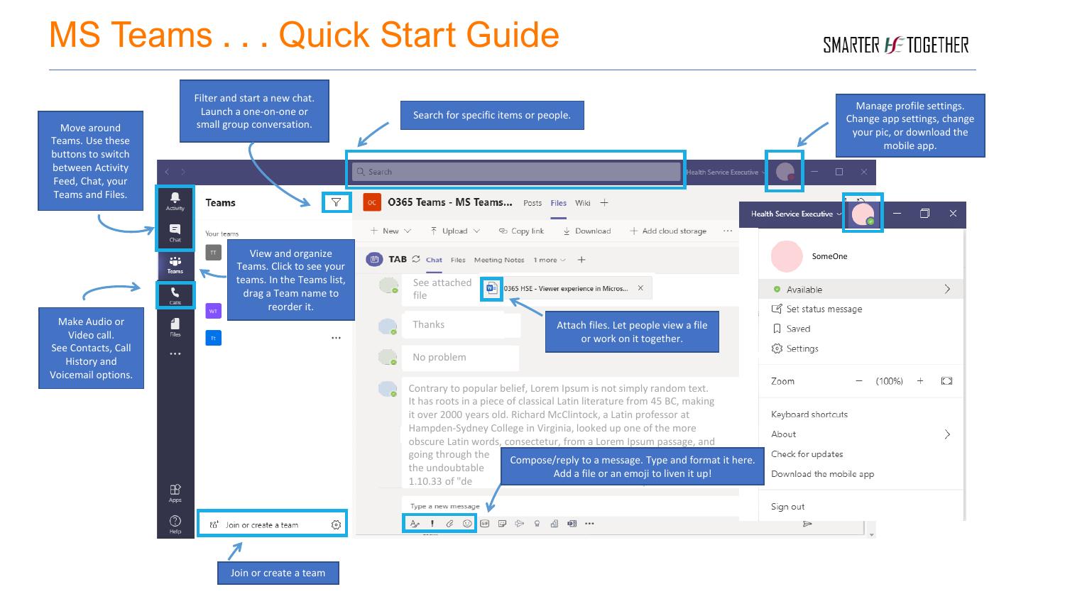### MS Teams . . . Quick Start Guide

#### SMARTER *HE* TOGETHER

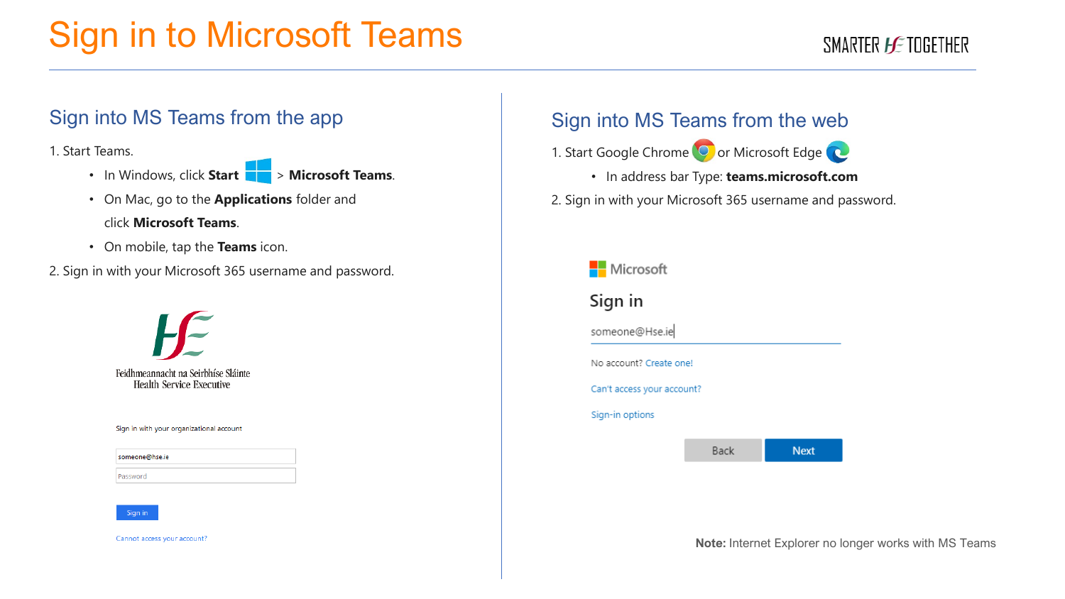# Sign in to Microsoft Teams

#### SMARTER *HE* TOGETHER

#### Sign into MS Teams from the app

1. Start Teams.

- In Windows, click **Start** > **Microsoft Teams**.
- On Mac, go to the **Applications** folder and click **Microsoft Teams**.
- On mobile, tap the **Teams** icon.
- 2. Sign in with your Microsoft 365 username and password.



#### Sign in with your organizational account

| someone@hse.ie |  |
|----------------|--|
|                |  |
| Password       |  |



Cannot access your account?

#### Sign into MS Teams from the web

1. Start Google Chrome<sup>(O</sup>or Microsoft Edge<sup>(O</sup>or

• In address bar Type: **teams.microsoft.com**

2. Sign in with your Microsoft 365 username and password.



**Note:** Internet Explorer no longer works with MS Teams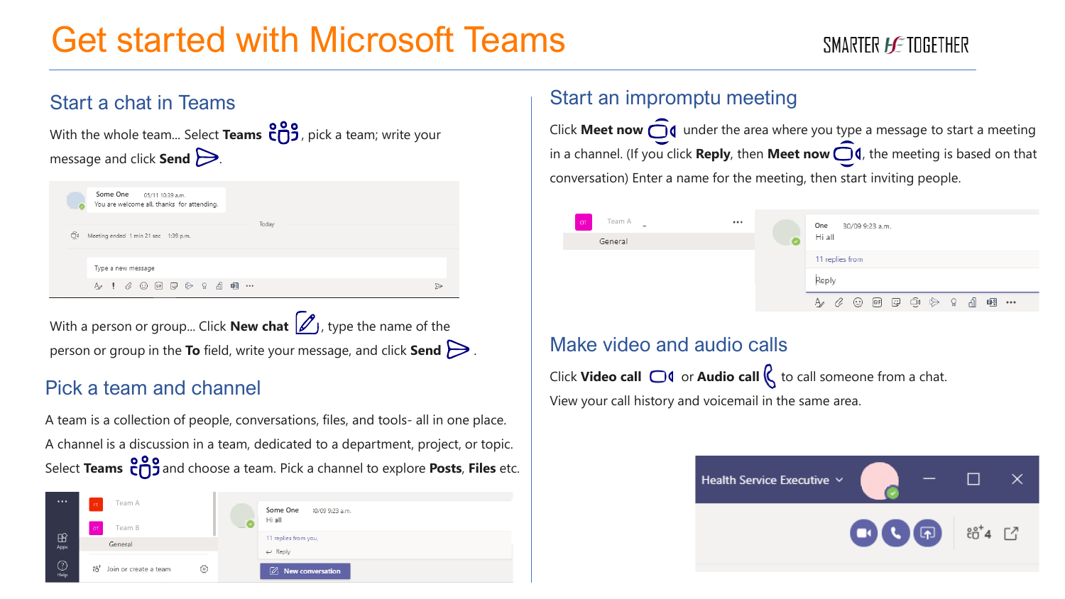## Get started with Microsoft Teams

#### SMARTER *HE* TOGETHER



With a person or group... Click **New chat**  $\mathscr{D}_1$ , type the name of the person or group in the **To** field, write your message, and click **Send** .

#### Pick a team and channel

A team is a collection of people, conversations, files, and tools- all in one place. A channel is a discussion in a team, dedicated to a department, project, or topic. Select **Teams**  $\frac{809}{12}$  and choose a team. Pick a channel to explore **Posts**, **Files** etc.



#### Start an impromptu meeting

Click **Meet now**  $\bigcirc$  **d** under the area where you type a message to start a meeting in a channel. (If you click **Reply**, then **Meet now**  $\bigcirc$  **4**, the meeting is based on that conversation) Enter a name for the meeting, then start inviting people.



#### Make video and audio calls

Click **Video call**  $\Box$  or **Audio call**  $\Box$  to call someone from a chat. View your call history and voicemail in the same area.

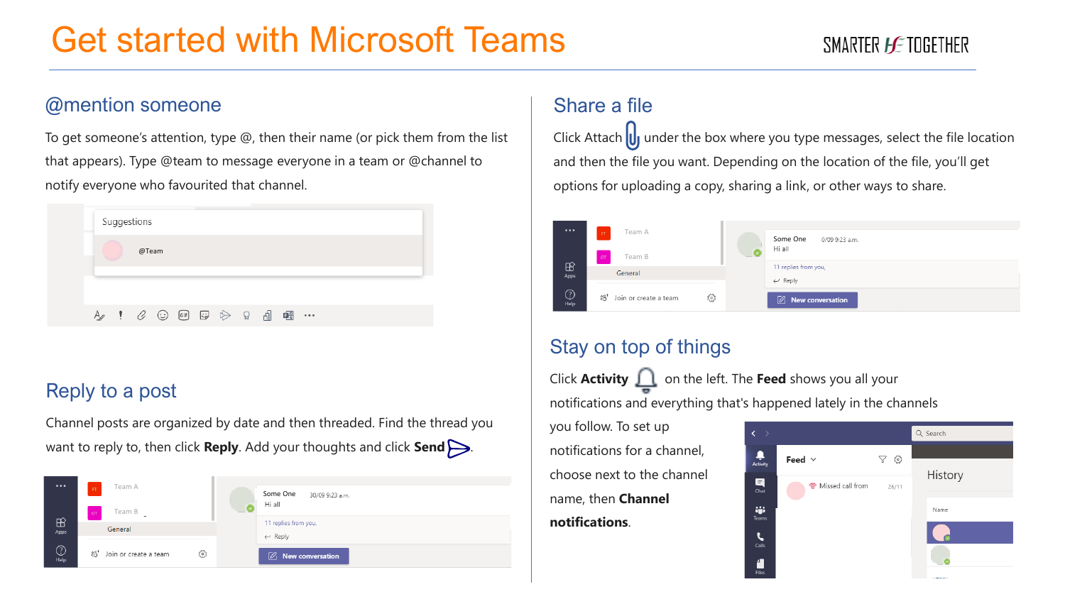## Get started with Microsoft Teams

#### @mention someone

To get someone's attention, type @, then their name (or pick them from the list that appears). Type @team to message everyone in a team or @channel to notify everyone who favourited that channel.

|       |  | Suggestions |  |  |  |                                                                                                                                                            |  |          |  |
|-------|--|-------------|--|--|--|------------------------------------------------------------------------------------------------------------------------------------------------------------|--|----------|--|
| @Team |  |             |  |  |  |                                                                                                                                                            |  |          |  |
|       |  |             |  |  |  |                                                                                                                                                            |  |          |  |
|       |  |             |  |  |  | $\mathbb{A} \quad \mathsf{!} \quad \mathscr{C} \; \oplus \; \mathbb{H} \; \oplus \; \mathbb{R} \; \oplus \; \mathbb{R} \; \; \mathbb{dl} \; \; \mathsf{m}$ |  | $\cdots$ |  |

### Reply to a post

Channel posts are organized by date and then threaded. Find the thread you want to reply to, then click **Reply**. Add your thoughts and click **Send** .



### Share a file

Click Attach  $\bigcup$  under the box where you type messages, select the file location and then the file you want. Depending on the location of the file, you'll get options for uploading a copy, sharing a link, or other ways to share.

| $\cdots$               | Team A<br>FT<br><b>OT</b><br>Team B                  |    | Some One<br>10/09 9:23 a.m.<br>Hi all      |  |  |  |  |
|------------------------|------------------------------------------------------|----|--------------------------------------------|--|--|--|--|
| $\mathbb{B}$<br>Apps   | General                                              |    | 11 replies from you,<br>$\leftarrow$ Reply |  |  |  |  |
| $\bigodot_{\sf{Help}}$ | $\mathrm{e}^{\mathrm{e}^+}$<br>Join or create a team | සි | Ø<br>New conversation                      |  |  |  |  |

### Stay on top of things

Click **Activity** on the left. The **Feed** shows you all your notifications and everything that's happened lately in the channels

you follow. To set up notifications for a channel, choose next to the channel name, then **Channel notifications**.